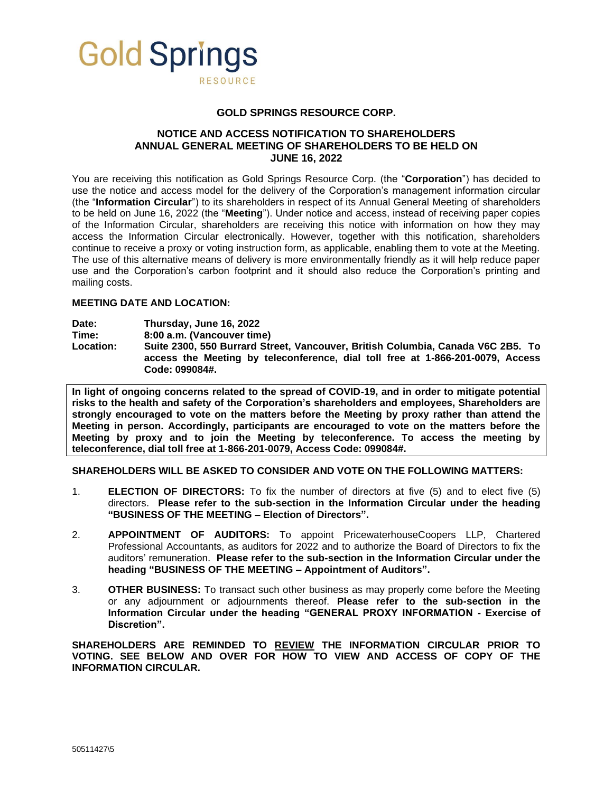

## **GOLD SPRINGS RESOURCE CORP.**

# **NOTICE AND ACCESS NOTIFICATION TO SHAREHOLDERS ANNUAL GENERAL MEETING OF SHAREHOLDERS TO BE HELD ON JUNE 16, 2022**

You are receiving this notification as Gold Springs Resource Corp. (the "**Corporation**") has decided to use the notice and access model for the delivery of the Corporation's management information circular (the "**Information Circular**") to its shareholders in respect of its Annual General Meeting of shareholders to be held on June 16, 2022 (the "**Meeting**"). Under notice and access, instead of receiving paper copies of the Information Circular, shareholders are receiving this notice with information on how they may access the Information Circular electronically. However, together with this notification, shareholders continue to receive a proxy or voting instruction form, as applicable, enabling them to vote at the Meeting. The use of this alternative means of delivery is more environmentally friendly as it will help reduce paper use and the Corporation's carbon footprint and it should also reduce the Corporation's printing and mailing costs.

# **MEETING DATE AND LOCATION:**

**Date: Thursday, June 16, 2022**

**Time: 8:00 a.m. (Vancouver time)**

**Location: Suite 2300, 550 Burrard Street, Vancouver, British Columbia, Canada V6C 2B5. To access the Meeting by teleconference, dial toll free at 1-866-201-0079, Access Code: 099084#.**

**In light of ongoing concerns related to the spread of COVID-19, and in order to mitigate potential risks to the health and safety of the Corporation's shareholders and employees, Shareholders are strongly encouraged to vote on the matters before the Meeting by proxy rather than attend the Meeting in person. Accordingly, participants are encouraged to vote on the matters before the Meeting by proxy and to join the Meeting by teleconference. To access the meeting by teleconference, dial toll free at 1-866-201-0079, Access Code: 099084#.**

**SHAREHOLDERS WILL BE ASKED TO CONSIDER AND VOTE ON THE FOLLOWING MATTERS:**

- 1. **ELECTION OF DIRECTORS:** To fix the number of directors at five (5) and to elect five (5) directors. **Please refer to the sub-section in the Information Circular under the heading "BUSINESS OF THE MEETING – Election of Directors".**
- 2. **APPOINTMENT OF AUDITORS:** To appoint PricewaterhouseCoopers LLP, Chartered Professional Accountants, as auditors for 2022 and to authorize the Board of Directors to fix the auditors' remuneration. **Please refer to the sub-section in the Information Circular under the heading "BUSINESS OF THE MEETING – Appointment of Auditors".**
- 3. **OTHER BUSINESS:** To transact such other business as may properly come before the Meeting or any adjournment or adjournments thereof. **Please refer to the sub-section in the Information Circular under the heading "GENERAL PROXY INFORMATION - Exercise of Discretion".**

**SHAREHOLDERS ARE REMINDED TO REVIEW THE INFORMATION CIRCULAR PRIOR TO VOTING. SEE BELOW AND OVER FOR HOW TO VIEW AND ACCESS OF COPY OF THE INFORMATION CIRCULAR.**